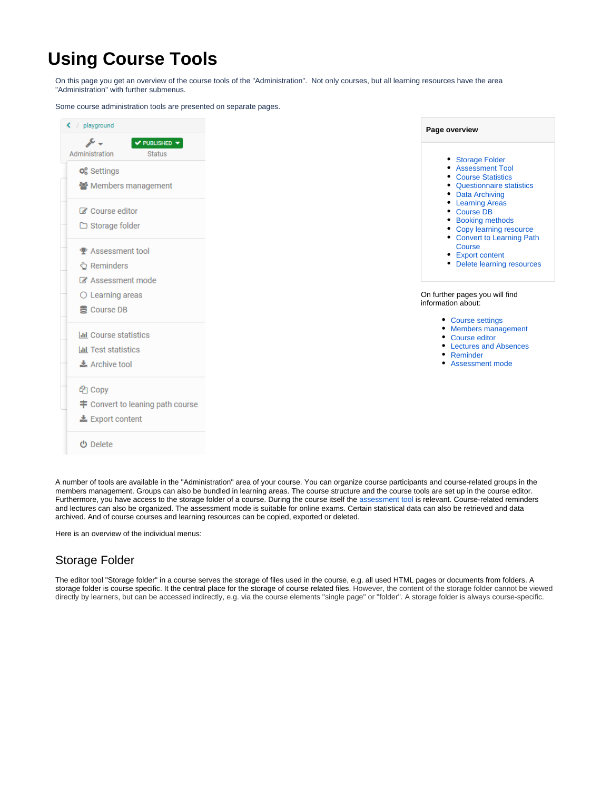# **Using Course Tools**

On this page you get an overview of the course tools of the "Administration". Not only courses, but all learning resources have the area "Administration" with further submenus.

Some course administration tools are presented on separate pages.



A number of tools are available in the "Administration" area of your course. You can organize course participants and course-related groups in the members management. Groups can also be bundled in learning areas. The course structure and the course tools are set up in the course editor. Furthermore, you have access to the storage folder of a course. During the course itself the [assessment tool](https://confluence.openolat.org/display/OO154EN/Assessment+tool+-+overview) is relevant. Course-related reminders and lectures can also be organized. The assessment mode is suitable for online exams. Certain statistical data can also be retrieved and data archived. And of course courses and learning resources can be copied, exported or deleted.

Here is an overview of the individual menus:

### <span id="page-0-0"></span>Storage Folder

The editor tool "Storage folder" in a course serves the storage of files used in the course, e.g. all used HTML pages or documents from folders. A storage folder is course specific. It the central place for the storage of course related files. However, the content of the storage folder cannot be viewed directly by learners, but can be accessed indirectly, e.g. via the course elements "single page" or "folder". A storage folder is always course-specific.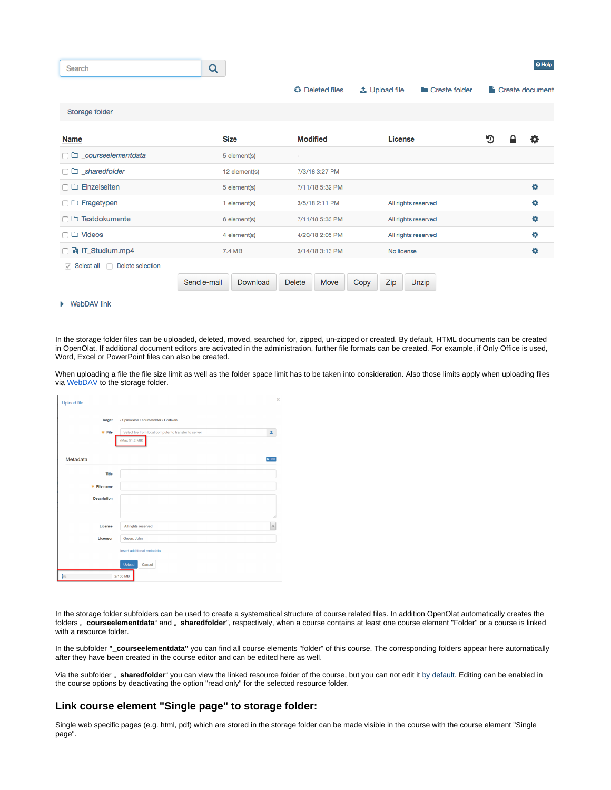| Search                                    | Q                       |                                           |                                              | O Help          |
|-------------------------------------------|-------------------------|-------------------------------------------|----------------------------------------------|-----------------|
|                                           |                         | <b><i><sup>23</sup></i></b> Deleted files | <b>主 Upload file</b><br><b>Create folder</b> | Greate document |
| Storage folder                            |                         |                                           |                                              |                 |
| <b>Name</b>                               | <b>Size</b>             | <b>Modified</b>                           | License                                      | תי<br>o         |
| $\Box$ $\Box$ courseelementdata           | 5 element(s)            | ٠                                         |                                              |                 |
| $\Box$ sharedfolder                       | 12 element(s)           | 7/3/18 3:27 PM                            |                                              |                 |
| $\Box$ Einzelseiten                       | 5 element(s)            | 7/11/18 5:32 PM                           |                                              | ۰               |
| $\Box$ Fragetypen                         | 1 element(s)            | 3/5/18 2:11 PM                            | All rights reserved                          | ۰               |
| □ D Testdokumente                         | 6 element(s)            | 7/11/18 5:33 PM                           | All rights reserved                          | ۰               |
| $\Box$ $\Box$ Videos                      | 4 element(s)            | 4/20/18 2:05 PM                           | All rights reserved                          | ۰               |
| □ h IT_Studium.mp4                        | 7.4 MB                  | 3/14/18 3:13 PM                           | No license                                   | ۰               |
| $\vee$ Select all $\Box$ Delete selection |                         |                                           |                                              |                 |
|                                           | Send e-mail<br>Download | <b>Delete</b><br>Move                     | Zip<br>Copy<br>Unzip                         |                 |

#### ▶ WebDAV link

In the storage folder files can be uploaded, deleted, moved, searched for, zipped, un-zipped or created. By default, HTML documents can be created in OpenOlat. If additional document editors are activated in the administration, further file formats can be created. For example, if Only Office is used, Word, Excel or PowerPoint files can also be created.

When uploading a file the file size limit as well as the folder space limit has to be taken into consideration. Also those limits apply when uploading files via [WebDAV](https://confluence.openolat.org/display/OO154EN/WebDAV) to the storage folder.

| Upload file        |                                                                        | ×                    |  |  |  |  |
|--------------------|------------------------------------------------------------------------|----------------------|--|--|--|--|
| Target             | / Spielwiese / coursefolder / Grafiken                                 |                      |  |  |  |  |
| * File             | Select file from local computer to transfer to server<br>(Max 51.2 MB) | 土                    |  |  |  |  |
| Metadata           |                                                                        | $\Theta$ Help        |  |  |  |  |
| Title              |                                                                        |                      |  |  |  |  |
| * File name        |                                                                        |                      |  |  |  |  |
| <b>Description</b> |                                                                        |                      |  |  |  |  |
|                    |                                                                        | Æ                    |  |  |  |  |
| License            | All rights reserved                                                    | $\blacktriangledown$ |  |  |  |  |
| Licensor           | Green, John                                                            |                      |  |  |  |  |
|                    | Insert additional metadata                                             |                      |  |  |  |  |
|                    | Upload<br>Cancel                                                       |                      |  |  |  |  |
| 斜                  | 2/100 MB                                                               |                      |  |  |  |  |

In the storage folder subfolders can be used to create a systematical structure of course related files. In addition OpenOlat automatically creates the folders "\_courseelementdata" and "\_sharedfolder", respectively, when a course contains at least one course element "Folder" or a course is linked with a resource folder.

In the subfolder **"\_courseelementdata"** you can find all course elements "folder" of this course. The corresponding folders appear here automatically after they have been created in the course editor and can be edited here as well.

Via the subfolder <sub>"</sub>\_sharedfolder" you can view the linked resource folder of the course, but you can not edit it by default. Editing can be enabled in the course options by deactivating the option "read only" for the selected resource folder.

#### **Link course element "Single page" to storage folder:**

Single web specific pages (e.g. html, pdf) which are stored in the storage folder can be made visible in the course with the course element "Single page".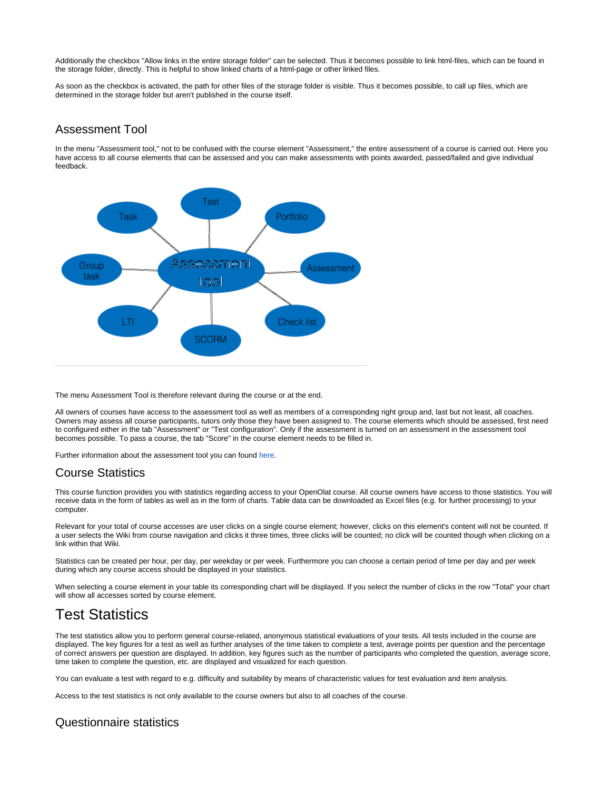Additionally the checkbox "Allow links in the entire storage folder" can be selected. Thus it becomes possible to link html-files, which can be found in the storage folder, directly. This is helpful to show linked charts of a html-page or other linked files.

As soon as the checkbox is activated, the path for other files of the storage folder is visible. Thus it becomes possible, to call up files, which are determined in the storage folder but aren't published in the course itself.

### <span id="page-2-0"></span>Assessment Tool

In the menu "Assessment tool," not to be confused with the course element "Assessment," the entire assessment of a course is carried out. Here you have access to all course elements that can be assessed and you can make assessments with points awarded, passed/failed and give individual feedback.



The menu Assessment Tool is therefore relevant during the course or at the end.

All owners of courses have access to the assessment tool as well as members of a corresponding right group and, last but not least, all coaches. Owners may assess all course participants, tutors only those they have been assigned to. The course elements which should be assessed, first need to configured either in the tab "Assessment" or "Test configuration". Only if the assessment is turned on an assessment in the assessment tool becomes possible. To pass a course, the tab "Score" in the course element needs to be filled in.

Further information about the assessment tool you can found [here.](https://confluence.openolat.org/display/OO154EN/Assessment+tool+-+overview)

### <span id="page-2-1"></span>Course Statistics

This course function provides you with statistics regarding access to your OpenOlat course. All course owners have access to those statistics. You will receive data in the form of tables as well as in the form of charts. Table data can be downloaded as Excel files (e.g. for further processing) to your computer.

Relevant for your total of course accesses are user clicks on a single course element; however, clicks on this element's content will not be counted. If a user selects the Wiki from course navigation and clicks it three times, three clicks will be counted; no click will be counted though when clicking on a link within that Wiki.

Statistics can be created per hour, per day, per weekday or per week. Furthermore you can choose a certain period of time per day and per week during which any course access should be displayed in your statistics.

When selecting a course element in your table its corresponding chart will be displayed. If you select the number of clicks in the row "Total" your chart will show all accesses sorted by course element.

# Test Statistics

The test statistics allow you to perform general course-related, anonymous statistical evaluations of your tests. All tests included in the course are displayed. The key figures for a test as well as further analyses of the time taken to complete a test, average points per question and the percentage of correct answers per question are displayed. In addition, key figures such as the number of participants who completed the question, average score, time taken to complete the question, etc. are displayed and visualized for each question.

You can evaluate a test with regard to e.g. difficulty and suitability by means of characteristic values for test evaluation and item analysis.

Access to the test statistics is not only available to the course owners but also to all coaches of the course.

### <span id="page-2-2"></span>Questionnaire statistics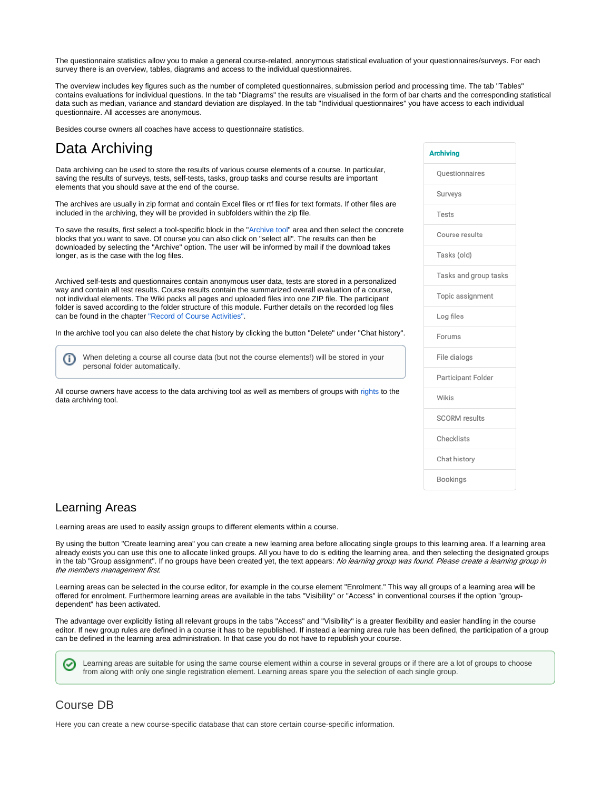The questionnaire statistics allow you to make a general course-related, anonymous statistical evaluation of your questionnaires/surveys. For each survey there is an overview, tables, diagrams and access to the individual questionnaires.

The overview includes key figures such as the number of completed questionnaires, submission period and processing time. The tab "Tables" contains evaluations for individual questions. In the tab "Diagrams" the results are visualised in the form of bar charts and the corresponding statistical data such as median, variance and standard deviation are displayed. In the tab "Individual questionnaires" you have access to each individual questionnaire. All accesses are anonymous.

Besides course owners all coaches have access to questionnaire statistics.

## <span id="page-3-0"></span>Data Archiving

Data archiving can be used to store the results of various course elements of a course. In particular, saving the results of surveys, tests, self-tests, tasks, group tasks and course results are important elements that you should save at the end of the course.

The archives are usually in zip format and contain Excel files or rtf files for text formats. If other files are included in the archiving, they will be provided in subfolders within the zip file.

To save the results, first select a tool-specific block in the ["Archive tool"](https://confluence.openolat.org/display/OO154EN/Data+archiving) area and then select the concrete blocks that you want to save. Of course you can also click on "select all". The results can then be downloaded by selecting the "Archive" option. The user will be informed by mail if the download takes longer, as is the case with the log files.

Archived self-tests and questionnaires contain anonymous user data, tests are stored in a personalized way and contain all test results. Course results contain the summarized overall evaluation of a course, not individual elements. The Wiki packs all pages and uploaded files into one ZIP file. The participant folder is saved according to the folder structure of this module. Further details on the recorded log files can be found in the chapter ["Record of Course Activities"](https://confluence.openolat.org/display/OO154EN/Record+of+Course+Activities).

In the archive tool you can also delete the chat history by clicking the button "Delete" under "Chat history".

When deleting a course all course data (but not the course elements!) will be stored in your personal folder automatically.

All course owners have access to the data archiving tool as well as members of groups with rights to the data archiving tool.

# **Archiving** Ouestionnaires Surveys Tests Course results Tasks (old) Tasks and group tasks Topic assignment Log files Forums File dialogs Participant Folder Wikis **SCORM** results Checklists Chat history Bookings

### <span id="page-3-1"></span>Learning Areas

(i)

Learning areas are used to easily assign groups to different elements within a course.

By using the button "Create learning area" you can create a new learning area before allocating single groups to this learning area. If a learning area already exists you can use this one to allocate linked groups. All you have to do is editing the learning area, and then selecting the designated groups in the tab "Group assignment". If no groups have been created yet, the text appears: No learning group was found. Please create a learning group in the members management first.

Learning areas can be selected in the course editor, for example in the course element "Enrolment." This way all groups of a learning area will be offered for enrolment. Furthermore learning areas are available in the tabs "Visibility" or "Access" in conventional courses if the option "groupdependent" has been activated.

The advantage over explicitly listing all relevant groups in the tabs "Access" and "Visibility" is a greater flexibility and easier handling in the course editor. If new group rules are defined in a course it has to be republished. If instead a learning area rule has been defined, the participation of a group can be defined in the learning area administration. In that case you do not have to republish your course.

Learning areas are suitable for using the same course element within a course in several groups or if there are a lot of groups to choose from along with only one single registration element. Learning areas spare you the selection of each single group.

### <span id="page-3-2"></span>Course DB

∽

<span id="page-3-3"></span>Here you can create a new course-specific database that can store certain course-specific information.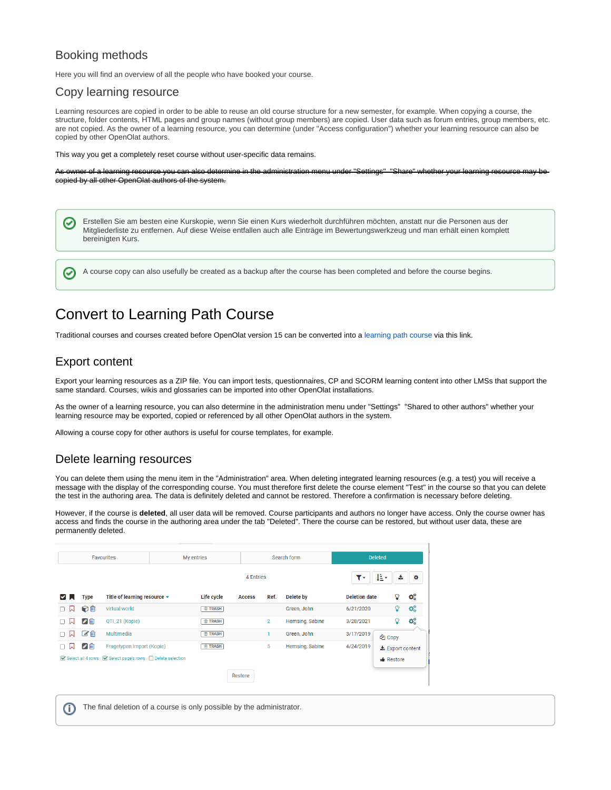### Booking methods

Here you will find an overview of all the people who have booked your course.

### <span id="page-4-0"></span>Copy learning resource

Learning resources are copied in order to be able to reuse an old course structure for a new semester, for example. When copying a course, the structure, folder contents, HTML pages and group names (without group members) are copied. User data such as forum entries, group members, etc. are not copied. As the owner of a learning resource, you can determine (under "Access configuration") whether your learning resource can also be copied by other OpenOlat authors.

This way you get a completely reset course without user-specific data remains.

As owner of a learning resource you can also determine in the administration menu under "Settings" "Share" whether your learning resource may be copied by all other OpenOlat authors of the system.

Erstellen Sie am besten eine Kurskopie, wenn Sie einen Kurs wiederholt durchführen möchten, anstatt nur die Personen aus der ☑ Mitgliederliste zu entfernen. Auf diese Weise entfallen auch alle Einträge im Bewertungswerkzeug und man erhält einen komplett bereinigten Kurs.

A course copy can also usefully be created as a backup after the course has been completed and before the course begins.

## <span id="page-4-1"></span>Convert to Learning Path Course

Traditional courses and courses created before OpenOlat version 15 can be converted into a [learning path course](https://confluence.openolat.org/display/OO150EN/Learning+path+course) via this link.

### <span id="page-4-2"></span>Export content

∽

Export your learning resources as a ZIP file. You can import tests, questionnaires, CP and SCORM learning content into other LMSs that support the same standard. Courses, wikis and glossaries can be imported into other OpenOlat installations.

As the owner of a learning resource, you can also determine in the administration menu under "Settings" "Shared to other authors" whether your learning resource may be exported, copied or referenced by all other OpenOlat authors in the system.

Allowing a course copy for other authors is useful for course templates, for example.

### <span id="page-4-3"></span>Delete learning resources

You can delete them using the menu item in the "Administration" area. When deleting integrated learning resources (e.g. a test) you will receive a message with the display of the corresponding course. You must therefore first delete the course element "Test" in the course so that you can delete the test in the authoring area. The data is definitely deleted and cannot be restored. Therefore a confirmation is necessary before deleting.

However, if the course is **deleted**, all user data will be removed. Course participants and authors no longer have access. Only the course owner has access and finds the course in the authoring area under the tab "Deleted". There the course can be restored, but without user data, these are permanently deleted.

|                                                       | Favourites   |                              | My entries |                |               | Search form    |                 | <b>Deleted</b>       |                         |      |
|-------------------------------------------------------|--------------|------------------------------|------------|----------------|---------------|----------------|-----------------|----------------------|-------------------------|------|
|                                                       |              |                              |            | 4 Entries      |               |                | ٣٠              | Æ۰<br>土              | ۰                       |      |
| է                                                     | <b>Type</b>  | Title of learning resource - |            | Life cycle     | <b>Access</b> | Ref.           | Delete by       | <b>Deletion date</b> | ဂူ                      | ಥ್ಯೆ |
| W<br>п                                                | ♡面           | virtual world                |            | <b>自 TRASH</b> |               |                | Green, John     | 6/21/2020            | ဂူ                      | œ    |
| W<br>п                                                | ⊘面           | QTI_21 (Kopie)               |            | <b>自 TRASH</b> |               | $\overline{2}$ | Hemsing, Sabine | 3/28/2021            | Ω                       | œ    |
| 口<br>п                                                | び面           | Multimedia                   |            | <b>自 TRASH</b> |               |                | Green, John     | 3/17/2019            | <sup>4</sup> Copy       |      |
| W                                                     | $\bullet$ in | Fragetypen Import (Kopie)    |            | <b>自 TRASH</b> |               | 5              | Hemsing, Sabine | 4/24/2019            | <b>±</b> Export content |      |
| Select all 4 rows Select page's rows Delete selection |              |                              |            |                |               |                | Restore         |                      |                         |      |
|                                                       |              |                              |            |                | Restore       |                |                 |                      |                         |      |

⋒ The final deletion of a course is only possible by the administrator.